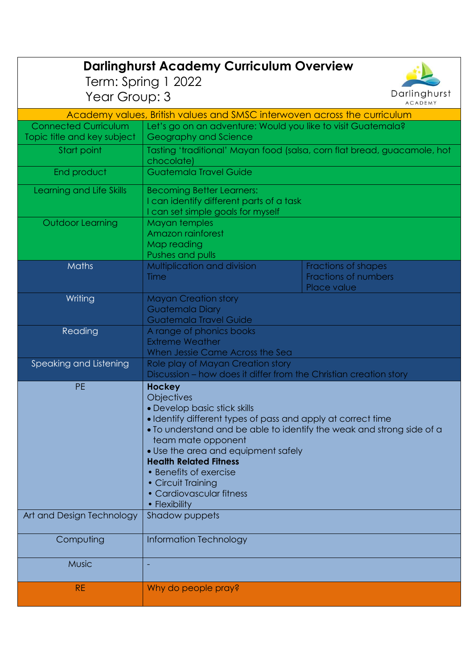|                                                                                            | <b>Darlinghurst Academy Curriculum Overview</b>                                                                                                                                                                                                                                                                                                                                                 |                                                            |  |
|--------------------------------------------------------------------------------------------|-------------------------------------------------------------------------------------------------------------------------------------------------------------------------------------------------------------------------------------------------------------------------------------------------------------------------------------------------------------------------------------------------|------------------------------------------------------------|--|
| Term: Spring 1 2022                                                                        |                                                                                                                                                                                                                                                                                                                                                                                                 |                                                            |  |
| Year Group: 3                                                                              |                                                                                                                                                                                                                                                                                                                                                                                                 | Darlinghurst                                               |  |
| <b>ACADEMY</b><br>Academy values, British values and SMSC interwoven across the curriculum |                                                                                                                                                                                                                                                                                                                                                                                                 |                                                            |  |
| <b>Connected Curriculum</b>                                                                |                                                                                                                                                                                                                                                                                                                                                                                                 |                                                            |  |
| Topic title and key subject                                                                | Let's go on an adventure: Would you like to visit Guatemala?<br>Geography and Science                                                                                                                                                                                                                                                                                                           |                                                            |  |
| Start point                                                                                | Tasting 'traditional' Mayan food (salsa, corn flat bread, guacamole, hot<br>chocolate)                                                                                                                                                                                                                                                                                                          |                                                            |  |
| End product                                                                                | Guatemala Travel Guide                                                                                                                                                                                                                                                                                                                                                                          |                                                            |  |
| Learning and Life Skills                                                                   | <b>Becoming Better Learners:</b><br>I can identify different parts of a task<br>I can set simple goals for myself                                                                                                                                                                                                                                                                               |                                                            |  |
| Outdoor Learning                                                                           | Mayan temples<br>Amazon rainforest<br>Map reading<br>Pushes and pulls                                                                                                                                                                                                                                                                                                                           |                                                            |  |
| <b>Maths</b>                                                                               | Multiplication and division<br>Time                                                                                                                                                                                                                                                                                                                                                             | Fractions of shapes<br>Fractions of numbers<br>Place value |  |
| Writing                                                                                    | <b>Mayan Creation story</b><br><b>Guatemala Diary</b><br><b>Guatemala Travel Guide</b>                                                                                                                                                                                                                                                                                                          |                                                            |  |
| Reading                                                                                    | A range of phonics books<br><b>Extreme Weather</b><br>When Jessie Came Across the Sea                                                                                                                                                                                                                                                                                                           |                                                            |  |
| Speaking and Listening                                                                     | Role play of Mayan Creation story<br>Discussion – how does it differ from the Christian creation story                                                                                                                                                                                                                                                                                          |                                                            |  |
| <b>PE</b>                                                                                  | <b>Hockey</b><br>Objectives<br>· Develop basic stick skills<br>• Identify different types of pass and apply at correct time<br>• To understand and be able to identify the weak and strong side of a<br>team mate opponent<br>• Use the area and equipment safely<br><b>Health Related Fitness</b><br>• Benefits of exercise<br>• Circuit Training<br>• Cardiovascular fitness<br>• Flexibility |                                                            |  |
| Art and Design Technology                                                                  | Shadow puppets                                                                                                                                                                                                                                                                                                                                                                                  |                                                            |  |
| Computing                                                                                  | Information Technology                                                                                                                                                                                                                                                                                                                                                                          |                                                            |  |
| <b>Music</b>                                                                               |                                                                                                                                                                                                                                                                                                                                                                                                 |                                                            |  |
| RE.                                                                                        | Why do people pray?                                                                                                                                                                                                                                                                                                                                                                             |                                                            |  |